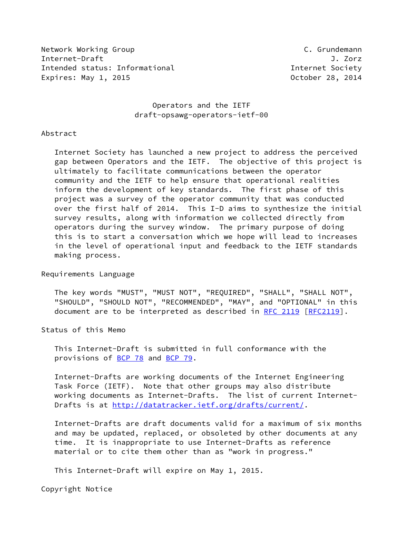Network Working Group **C. Grundemann** Internet-Draft J. Zorz Intended status: Informational Internet Society Expires: May 1, 2015 **Canadian Control** Corporation Corporation October 28, 2014

## Operators and the IETF draft-opsawg-operators-ietf-00

#### Abstract

 Internet Society has launched a new project to address the perceived gap between Operators and the IETF. The objective of this project is ultimately to facilitate communications between the operator community and the IETF to help ensure that operational realities inform the development of key standards. The first phase of this project was a survey of the operator community that was conducted over the first half of 2014. This I-D aims to synthesize the initial survey results, along with information we collected directly from operators during the survey window. The primary purpose of doing this is to start a conversation which we hope will lead to increases in the level of operational input and feedback to the IETF standards making process.

### Requirements Language

 The key words "MUST", "MUST NOT", "REQUIRED", "SHALL", "SHALL NOT", "SHOULD", "SHOULD NOT", "RECOMMENDED", "MAY", and "OPTIONAL" in this document are to be interpreted as described in [RFC 2119 \[RFC2119](https://datatracker.ietf.org/doc/pdf/rfc2119)].

Status of this Memo

 This Internet-Draft is submitted in full conformance with the provisions of [BCP 78](https://datatracker.ietf.org/doc/pdf/bcp78) and [BCP 79](https://datatracker.ietf.org/doc/pdf/bcp79).

 Internet-Drafts are working documents of the Internet Engineering Task Force (IETF). Note that other groups may also distribute working documents as Internet-Drafts. The list of current Internet- Drafts is at<http://datatracker.ietf.org/drafts/current/>.

 Internet-Drafts are draft documents valid for a maximum of six months and may be updated, replaced, or obsoleted by other documents at any time. It is inappropriate to use Internet-Drafts as reference material or to cite them other than as "work in progress."

This Internet-Draft will expire on May 1, 2015.

Copyright Notice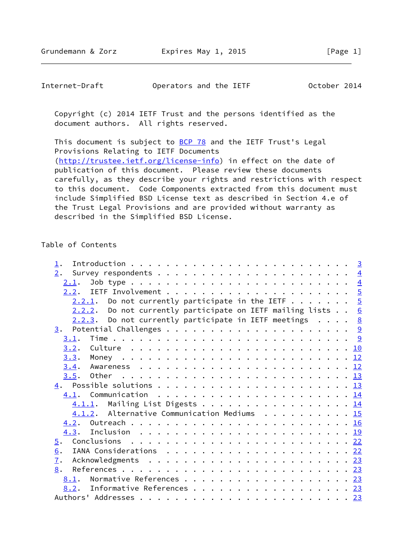| Operators and the IETF<br>October 2014<br>Internet-Draft |  |
|----------------------------------------------------------|--|
|----------------------------------------------------------|--|

 Copyright (c) 2014 IETF Trust and the persons identified as the document authors. All rights reserved.

This document is subject to **[BCP 78](https://datatracker.ietf.org/doc/pdf/bcp78)** and the IETF Trust's Legal Provisions Relating to IETF Documents [\(http://trustee.ietf.org/license-info](http://trustee.ietf.org/license-info)) in effect on the date of publication of this document. Please review these documents carefully, as they describe your rights and restrictions with respect to this document. Code Components extracted from this document must include Simplified BSD License text as described in Section 4.e of the Trust Legal Provisions and are provided without warranty as described in the Simplified BSD License.

### Table of Contents

| $\perp$ .                                                     |  |  |
|---------------------------------------------------------------|--|--|
| 2.                                                            |  |  |
|                                                               |  |  |
|                                                               |  |  |
| 2.2.1. Do not currently participate in the IETF $5$           |  |  |
| $2.2.2.$ Do not currently participate on IETF mailing lists 6 |  |  |
| $2.2.3$ . Do not currently participate in IETF meetings 8     |  |  |
|                                                               |  |  |
| 3.1.                                                          |  |  |
|                                                               |  |  |
|                                                               |  |  |
|                                                               |  |  |
|                                                               |  |  |
|                                                               |  |  |
|                                                               |  |  |
| 4.1.1. Mailing List Digests 14                                |  |  |
| 4.1.2. Alternative Communication Mediums 15                   |  |  |
|                                                               |  |  |
|                                                               |  |  |
| $\overline{5}$ .                                              |  |  |
| 6.                                                            |  |  |
| $\overline{1}$ .                                              |  |  |
| 8.                                                            |  |  |
| Normative References 23<br>8.1.                               |  |  |
| 8.2. Informative References 23                                |  |  |
|                                                               |  |  |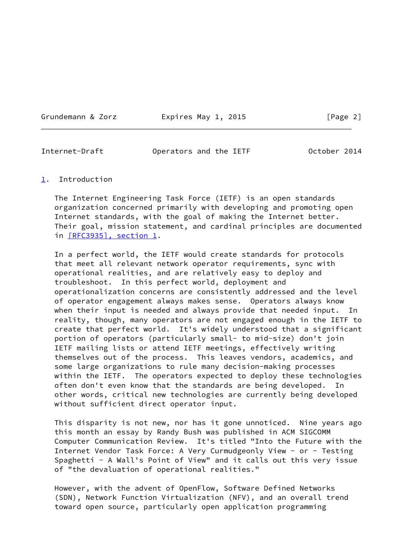Grundemann & Zorz **Expires May 1, 2015** [Page 2]

<span id="page-2-1"></span>Internet-Draft Operators and the IETF October 2014

#### <span id="page-2-0"></span>[1](#page-2-0). Introduction

 The Internet Engineering Task Force (IETF) is an open standards organization concerned primarily with developing and promoting open Internet standards, with the goal of making the Internet better. Their goal, mission statement, and cardinal principles are documented in [\[RFC3935\], section](https://datatracker.ietf.org/doc/pdf/rfc3935#section-1) 1.

 In a perfect world, the IETF would create standards for protocols that meet all relevant network operator requirements, sync with operational realities, and are relatively easy to deploy and troubleshoot. In this perfect world, deployment and operationalization concerns are consistently addressed and the level of operator engagement always makes sense. Operators always know when their input is needed and always provide that needed input. In reality, though, many operators are not engaged enough in the IETF to create that perfect world. It's widely understood that a significant portion of operators (particularly small- to mid-size) don't join IETF mailing lists or attend IETF meetings, effectively writing themselves out of the process. This leaves vendors, academics, and some large organizations to rule many decision-making processes within the IETF. The operators expected to deploy these technologies often don't even know that the standards are being developed. In other words, critical new technologies are currently being developed without sufficient direct operator input.

 This disparity is not new, nor has it gone unnoticed. Nine years ago this month an essay by Randy Bush was published in ACM SIGCOMM Computer Communication Review. It's titled "Into the Future with the Internet Vendor Task Force: A Very Curmudgeonly View - or - Testing Spaghetti - A Wall's Point of View" and it calls out this very issue of "the devaluation of operational realities."

 However, with the advent of OpenFlow, Software Defined Networks (SDN), Network Function Virtualization (NFV), and an overall trend toward open source, particularly open application programming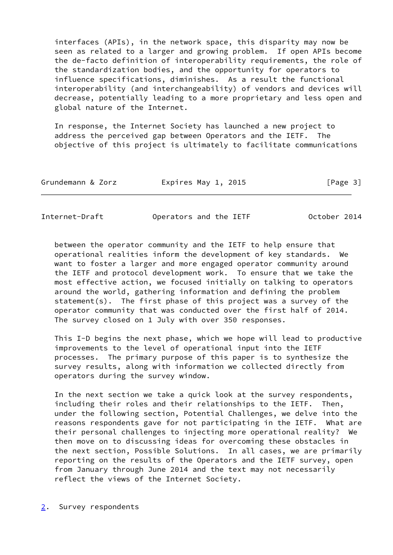interfaces (APIs), in the network space, this disparity may now be seen as related to a larger and growing problem. If open APIs become the de-facto definition of interoperability requirements, the role of the standardization bodies, and the opportunity for operators to influence specifications, diminishes. As a result the functional interoperability (and interchangeability) of vendors and devices will decrease, potentially leading to a more proprietary and less open and global nature of the Internet.

 In response, the Internet Society has launched a new project to address the perceived gap between Operators and the IETF. The objective of this project is ultimately to facilitate communications

| Grundemann & Zorz<br>Expires May 1, 2015<br>[Page 3] |
|------------------------------------------------------|
|------------------------------------------------------|

<span id="page-3-1"></span>Internet-Draft Operators and the IETF October 2014

 between the operator community and the IETF to help ensure that operational realities inform the development of key standards. We want to foster a larger and more engaged operator community around the IETF and protocol development work. To ensure that we take the most effective action, we focused initially on talking to operators around the world, gathering information and defining the problem statement(s). The first phase of this project was a survey of the operator community that was conducted over the first half of 2014. The survey closed on 1 July with over 350 responses.

 This I-D begins the next phase, which we hope will lead to productive improvements to the level of operational input into the IETF processes. The primary purpose of this paper is to synthesize the survey results, along with information we collected directly from operators during the survey window.

 In the next section we take a quick look at the survey respondents, including their roles and their relationships to the IETF. Then, under the following section, Potential Challenges, we delve into the reasons respondents gave for not participating in the IETF. What are their personal challenges to injecting more operational reality? We then move on to discussing ideas for overcoming these obstacles in the next section, Possible Solutions. In all cases, we are primarily reporting on the results of the Operators and the IETF survey, open from January through June 2014 and the text may not necessarily reflect the views of the Internet Society.

<span id="page-3-0"></span>[2](#page-3-0). Survey respondents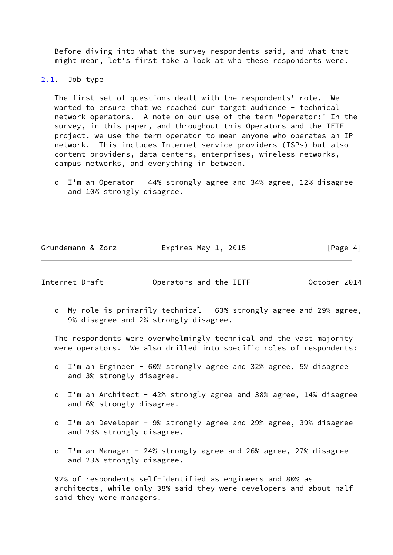Before diving into what the survey respondents said, and what that might mean, let's first take a look at who these respondents were.

### <span id="page-4-0"></span> $2.1.$  $2.1.$  Job type

 The first set of questions dealt with the respondents' role. We wanted to ensure that we reached our target audience - technical network operators. A note on our use of the term "operator:" In the survey, in this paper, and throughout this Operators and the IETF project, we use the term operator to mean anyone who operates an IP network. This includes Internet service providers (ISPs) but also content providers, data centers, enterprises, wireless networks, campus networks, and everything in between.

 o I'm an Operator - 44% strongly agree and 34% agree, 12% disagree and 10% strongly disagree.

| Grundemann & Zorz | Expires May 1, 2015 | [Page 4] |
|-------------------|---------------------|----------|
|                   |                     |          |

<span id="page-4-1"></span>Internet-Draft Operators and the IETF October 2014

o My role is primarily technical - 63% strongly agree and 29% agree, 9% disagree and 2% strongly disagree.

 The respondents were overwhelmingly technical and the vast majority were operators. We also drilled into specific roles of respondents:

- o I'm an Engineer 60% strongly agree and 32% agree, 5% disagree and 3% strongly disagree.
- o I'm an Architect 42% strongly agree and 38% agree, 14% disagree and 6% strongly disagree.
- o I'm an Developer 9% strongly agree and 29% agree, 39% disagree and 23% strongly disagree.
- o I'm an Manager 24% strongly agree and 26% agree, 27% disagree and 23% strongly disagree.

 92% of respondents self-identified as engineers and 80% as architects, while only 38% said they were developers and about half said they were managers.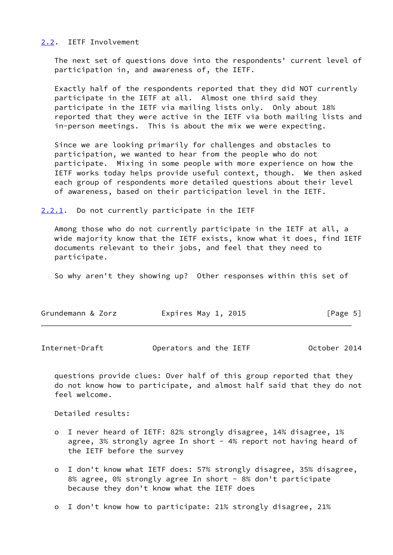# <span id="page-5-0"></span>[2.2](#page-5-0). IETF Involvement

 The next set of questions dove into the respondents' current level of participation in, and awareness of, the IETF.

 Exactly half of the respondents reported that they did NOT currently participate in the IETF at all. Almost one third said they participate in the IETF via mailing lists only. Only about 18% reported that they were active in the IETF via both mailing lists and in-person meetings. This is about the mix we were expecting.

 Since we are looking primarily for challenges and obstacles to participation, we wanted to hear from the people who do not participate. Mixing in some people with more experience on how the IETF works today helps provide useful context, though. We then asked each group of respondents more detailed questions about their level of awareness, based on their participation level in the IETF.

<span id="page-5-1"></span>[2.2.1](#page-5-1). Do not currently participate in the IETF

 Among those who do not currently participate in the IETF at all, a wide majority know that the IETF exists, know what it does, find IETF documents relevant to their jobs, and feel that they need to participate.

So why aren't they showing up? Other responses within this set of

<span id="page-5-2"></span>Internet-Draft Operators and the IETF October 2014

 questions provide clues: Over half of this group reported that they do not know how to participate, and almost half said that they do not feel welcome.

Detailed results:

- o I never heard of IETF: 82% strongly disagree, 14% disagree, 1% agree, 3% strongly agree In short - 4% report not having heard of the IETF before the survey
- o I don't know what IETF does: 57% strongly disagree, 35% disagree, 8% agree, 0% strongly agree In short - 8% don't participate because they don't know what the IETF does
- o I don't know how to participate: 21% strongly disagree, 21%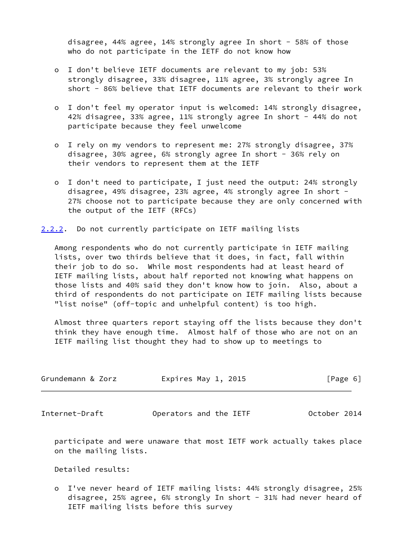disagree, 44% agree, 14% strongly agree In short - 58% of those who do not participate in the IETF do not know how

- o I don't believe IETF documents are relevant to my job: 53% strongly disagree, 33% disagree, 11% agree, 3% strongly agree In short - 86% believe that IETF documents are relevant to their work
- o I don't feel my operator input is welcomed: 14% strongly disagree, 42% disagree, 33% agree, 11% strongly agree In short - 44% do not participate because they feel unwelcome
- o I rely on my vendors to represent me: 27% strongly disagree, 37% disagree, 30% agree, 6% strongly agree In short - 36% rely on their vendors to represent them at the IETF
- o I don't need to participate, I just need the output: 24% strongly disagree, 49% disagree, 23% agree, 4% strongly agree In short - 27% choose not to participate because they are only concerned with the output of the IETF (RFCs)

<span id="page-6-0"></span>[2.2.2](#page-6-0). Do not currently participate on IETF mailing lists

 Among respondents who do not currently participate in IETF mailing lists, over two thirds believe that it does, in fact, fall within their job to do so. While most respondents had at least heard of IETF mailing lists, about half reported not knowing what happens on those lists and 40% said they don't know how to join. Also, about a third of respondents do not participate on IETF mailing lists because "list noise" (off-topic and unhelpful content) is too high.

 Almost three quarters report staying off the lists because they don't think they have enough time. Almost half of those who are not on an IETF mailing list thought they had to show up to meetings to

| Grundemann & Zorz | Expires May 1, 2015 | [Page 6] |
|-------------------|---------------------|----------|
|                   |                     |          |

Internet-Draft Operators and the IETF October 2014

 participate and were unaware that most IETF work actually takes place on the mailing lists.

Detailed results:

 o I've never heard of IETF mailing lists: 44% strongly disagree, 25% disagree, 25% agree, 6% strongly In short - 31% had never heard of IETF mailing lists before this survey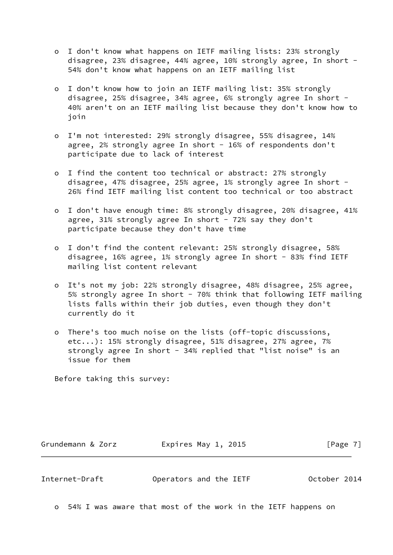- o I don't know what happens on IETF mailing lists: 23% strongly disagree, 23% disagree, 44% agree, 10% strongly agree, In short - 54% don't know what happens on an IETF mailing list
- o I don't know how to join an IETF mailing list: 35% strongly disagree, 25% disagree, 34% agree, 6% strongly agree In short - 40% aren't on an IETF mailing list because they don't know how to join
- o I'm not interested: 29% strongly disagree, 55% disagree, 14% agree, 2% strongly agree In short - 16% of respondents don't participate due to lack of interest
- o I find the content too technical or abstract: 27% strongly disagree, 47% disagree, 25% agree, 1% strongly agree In short - 26% find IETF mailing list content too technical or too abstract
- o I don't have enough time: 8% strongly disagree, 20% disagree, 41% agree,  $31\%$  strongly agree In short -  $72\%$  say they don't participate because they don't have time
- o I don't find the content relevant: 25% strongly disagree, 58% disagree, 16% agree, 1% strongly agree In short - 83% find IETF mailing list content relevant
- o It's not my job: 22% strongly disagree, 48% disagree, 25% agree, 5% strongly agree In short - 70% think that following IETF mailing lists falls within their job duties, even though they don't currently do it
- o There's too much noise on the lists (off-topic discussions, etc...): 15% strongly disagree, 51% disagree, 27% agree, 7% strongly agree In short - 34% replied that "list noise" is an issue for them

Before taking this survey:

Grundemann & Zorz **Expires May 1, 2015** [Page 7]

<span id="page-7-0"></span>Internet-Draft Operators and the IETF October 2014

o 54% I was aware that most of the work in the IETF happens on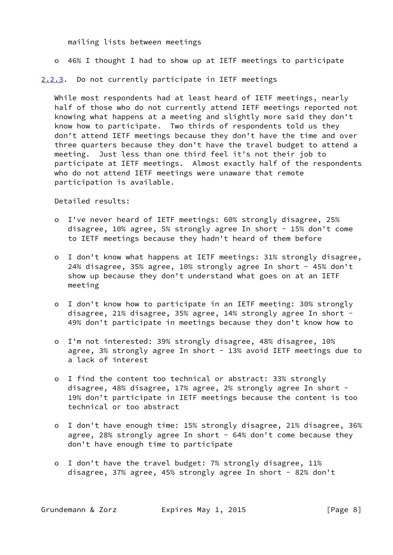mailing lists between meetings

o 46% I thought I had to show up at IETF meetings to participate

<span id="page-8-0"></span>[2.2.3](#page-8-0). Do not currently participate in IETF meetings

 While most respondents had at least heard of IETF meetings, nearly half of those who do not currently attend IETF meetings reported not knowing what happens at a meeting and slightly more said they don't know how to participate. Two thirds of respondents told us they don't attend IETF meetings because they don't have the time and over three quarters because they don't have the travel budget to attend a meeting. Just less than one third feel it's not their job to participate at IETF meetings. Almost exactly half of the respondents who do not attend IETF meetings were unaware that remote participation is available.

Detailed results:

- o I've never heard of IETF meetings: 60% strongly disagree, 25% disagree, 10% agree, 5% strongly agree In short - 15% don't come to IETF meetings because they hadn't heard of them before
- o I don't know what happens at IETF meetings: 31% strongly disagree, 24% disagree, 35% agree, 10% strongly agree In short - 45% don't show up because they don't understand what goes on at an IETF meeting
- o I don't know how to participate in an IETF meeting: 30% strongly disagree, 21% disagree, 35% agree, 14% strongly agree In short - 49% don't participate in meetings because they don't know how to
- o I'm not interested: 39% strongly disagree, 48% disagree, 10% agree, 3% strongly agree In short - 13% avoid IETF meetings due to a lack of interest
- o I find the content too technical or abstract: 33% strongly disagree, 48% disagree, 17% agree, 2% strongly agree In short - 19% don't participate in IETF meetings because the content is too technical or too abstract
- o I don't have enough time: 15% strongly disagree, 21% disagree, 36% agree, 28% strongly agree In short - 64% don't come because they don't have enough time to participate
- o I don't have the travel budget: 7% strongly disagree, 11% disagree, 37% agree, 45% strongly agree In short - 82% don't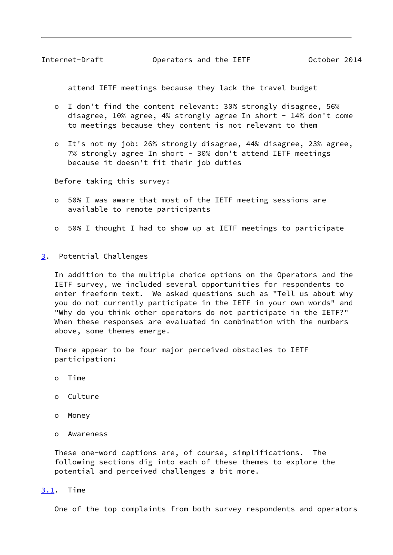<span id="page-9-1"></span>Internet-Draft Operators and the IETF October 2014

attend IETF meetings because they lack the travel budget

- o I don't find the content relevant: 30% strongly disagree, 56% disagree, 10% agree, 4% strongly agree In short - 14% don't come to meetings because they content is not relevant to them
- o It's not my job: 26% strongly disagree, 44% disagree, 23% agree, 7% strongly agree In short - 30% don't attend IETF meetings because it doesn't fit their job duties

Before taking this survey:

- o 50% I was aware that most of the IETF meeting sessions are available to remote participants
- o 50% I thought I had to show up at IETF meetings to participate
- <span id="page-9-0"></span>[3](#page-9-0). Potential Challenges

 In addition to the multiple choice options on the Operators and the IETF survey, we included several opportunities for respondents to enter freeform text. We asked questions such as "Tell us about why you do not currently participate in the IETF in your own words" and "Why do you think other operators do not participate in the IETF?" When these responses are evaluated in combination with the numbers above, some themes emerge.

 There appear to be four major perceived obstacles to IETF participation:

- o Time
- o Culture
- o Money
- o Awareness

 These one-word captions are, of course, simplifications. The following sections dig into each of these themes to explore the potential and perceived challenges a bit more.

#### <span id="page-9-2"></span>[3.1](#page-9-2). Time

One of the top complaints from both survey respondents and operators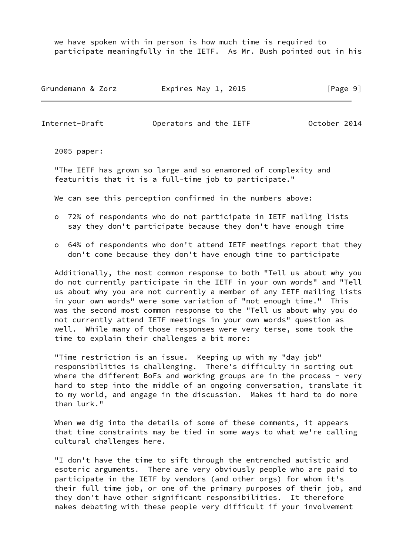we have spoken with in person is how much time is required to participate meaningfully in the IETF. As Mr. Bush pointed out in his

| Grundemann & Zorz | Expires May 1, 2015 | [Page 9] |
|-------------------|---------------------|----------|
|-------------------|---------------------|----------|

<span id="page-10-0"></span>Internet-Draft Operators and the IETF October 2014

2005 paper:

 "The IETF has grown so large and so enamored of complexity and featuritis that it is a full-time job to participate."

We can see this perception confirmed in the numbers above:

- o 72% of respondents who do not participate in IETF mailing lists say they don't participate because they don't have enough time
- o 64% of respondents who don't attend IETF meetings report that they don't come because they don't have enough time to participate

 Additionally, the most common response to both "Tell us about why you do not currently participate in the IETF in your own words" and "Tell us about why you are not currently a member of any IETF mailing lists in your own words" were some variation of "not enough time." This was the second most common response to the "Tell us about why you do not currently attend IETF meetings in your own words" question as well. While many of those responses were very terse, some took the time to explain their challenges a bit more:

 "Time restriction is an issue. Keeping up with my "day job" responsibilities is challenging. There's difficulty in sorting out where the different BoFs and working groups are in the process - very hard to step into the middle of an ongoing conversation, translate it to my world, and engage in the discussion. Makes it hard to do more than lurk."

 When we dig into the details of some of these comments, it appears that time constraints may be tied in some ways to what we're calling cultural challenges here.

 "I don't have the time to sift through the entrenched autistic and esoteric arguments. There are very obviously people who are paid to participate in the IETF by vendors (and other orgs) for whom it's their full time job, or one of the primary purposes of their job, and they don't have other significant responsibilities. It therefore makes debating with these people very difficult if your involvement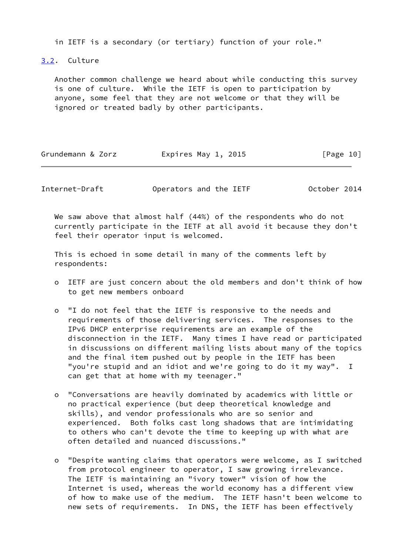in IETF is a secondary (or tertiary) function of your role."

<span id="page-11-0"></span>[3.2](#page-11-0). Culture

 Another common challenge we heard about while conducting this survey is one of culture. While the IETF is open to participation by anyone, some feel that they are not welcome or that they will be ignored or treated badly by other participants.

| Grundemann & Zorz | Expires May 1, 2015 | [Page 10] |
|-------------------|---------------------|-----------|
|-------------------|---------------------|-----------|

Internet-Draft Operators and the IETF October 2014

 We saw above that almost half (44%) of the respondents who do not currently participate in the IETF at all avoid it because they don't feel their operator input is welcomed.

 This is echoed in some detail in many of the comments left by respondents:

- o IETF are just concern about the old members and don't think of how to get new members onboard
- o "I do not feel that the IETF is responsive to the needs and requirements of those delivering services. The responses to the IPv6 DHCP enterprise requirements are an example of the disconnection in the IETF. Many times I have read or participated in discussions on different mailing lists about many of the topics and the final item pushed out by people in the IETF has been "you're stupid and an idiot and we're going to do it my way". I can get that at home with my teenager."
- o "Conversations are heavily dominated by academics with little or no practical experience (but deep theoretical knowledge and skills), and vendor professionals who are so senior and experienced. Both folks cast long shadows that are intimidating to others who can't devote the time to keeping up with what are often detailed and nuanced discussions."
- o "Despite wanting claims that operators were welcome, as I switched from protocol engineer to operator, I saw growing irrelevance. The IETF is maintaining an "ivory tower" vision of how the Internet is used, whereas the world economy has a different view of how to make use of the medium. The IETF hasn't been welcome to new sets of requirements. In DNS, the IETF has been effectively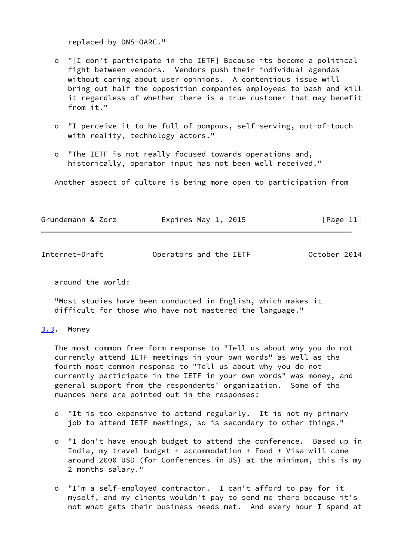replaced by DNS-OARC."

- o "[I don't participate in the IETF] Because its become a political fight between vendors. Vendors push their individual agendas without caring about user opinions. A contentious issue will bring out half the opposition companies employees to bash and kill it regardless of whether there is a true customer that may benefit from it."
- o "I perceive it to be full of pompous, self-serving, out-of-touch with reality, technology actors."
- o "The IETF is not really focused towards operations and, historically, operator input has not been well received."

Another aspect of culture is being more open to participation from

| [Page 11]<br>Grundemann & Zorz<br>Expires May 1, 2015 |  |
|-------------------------------------------------------|--|
|-------------------------------------------------------|--|

<span id="page-12-1"></span>

| Internet-Draft | Operators and the IETF | October 2014 |  |
|----------------|------------------------|--------------|--|
|                |                        |              |  |

around the world:

 "Most studies have been conducted in English, which makes it difficult for those who have not mastered the language."

### <span id="page-12-0"></span>[3.3](#page-12-0). Money

 The most common free-form response to "Tell us about why you do not currently attend IETF meetings in your own words" as well as the fourth most common response to "Tell us about why you do not currently participate in the IETF in your own words" was money, and general support from the respondents' organization. Some of the nuances here are pointed out in the responses:

- o "It is too expensive to attend regularly. It is not my primary job to attend IETF meetings, so is secondary to other things."
- o "I don't have enough budget to attend the conference. Based up in India, my travel budget + accommodation + Food + Visa will come around 2000 USD (for Conferences in US) at the minimum, this is my 2 months salary."
- o "I'm a self-employed contractor. I can't afford to pay for it myself, and my clients wouldn't pay to send me there because it's not what gets their business needs met. And every hour I spend at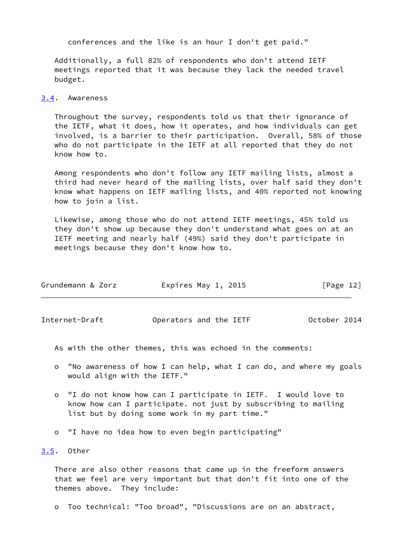conferences and the like is an hour I don't get paid."

 Additionally, a full 82% of respondents who don't attend IETF meetings reported that it was because they lack the needed travel budget.

#### <span id="page-13-0"></span>[3.4](#page-13-0). Awareness

 Throughout the survey, respondents told us that their ignorance of the IETF, what it does, how it operates, and how individuals can get involved, is a barrier to their participation. Overall, 58% of those who do not participate in the IETF at all reported that they do not know how to.

 Among respondents who don't follow any IETF mailing lists, almost a third had never heard of the mailing lists, over half said they don't know what happens on IETF mailing lists, and 40% reported not knowing how to join a list.

 Likewise, among those who do not attend IETF meetings, 45% told us they don't show up because they don't understand what goes on at an IETF meeting and nearly half (49%) said they don't participate in meetings because they don't know how to.

| Grundemann & Zorz | Expires May 1, 2015 | [Page 12] |
|-------------------|---------------------|-----------|
|                   |                     |           |

<span id="page-13-2"></span>Internet-Draft Operators and the IETF October 2014

As with the other themes, this was echoed in the comments:

- o "No awareness of how I can help, what I can do, and where my goals would align with the IETF."
- o "I do not know how can I participate in IETF. I would love to know how can I participate. not just by subscribing to mailing list but by doing some work in my part time."
- o "I have no idea how to even begin participating"

#### <span id="page-13-1"></span>[3.5](#page-13-1). Other

 There are also other reasons that came up in the freeform answers that we feel are very important but that don't fit into one of the themes above. They include:

o Too technical: "Too broad", "Discussions are on an abstract,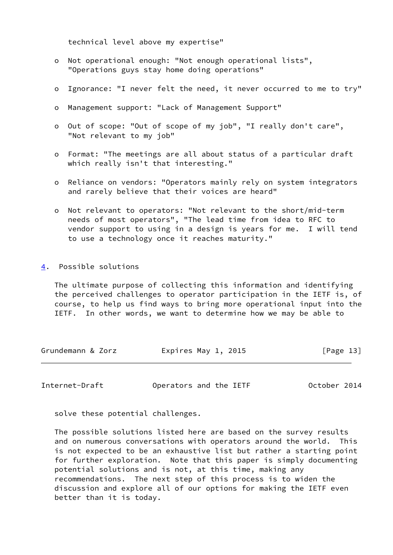technical level above my expertise"

- o Not operational enough: "Not enough operational lists", "Operations guys stay home doing operations"
- o Ignorance: "I never felt the need, it never occurred to me to try"
- o Management support: "Lack of Management Support"
- o Out of scope: "Out of scope of my job", "I really don't care", "Not relevant to my job"
- o Format: "The meetings are all about status of a particular draft which really isn't that interesting."
- o Reliance on vendors: "Operators mainly rely on system integrators and rarely believe that their voices are heard"
- o Not relevant to operators: "Not relevant to the short/mid-term needs of most operators", "The lead time from idea to RFC to vendor support to using in a design is years for me. I will tend to use a technology once it reaches maturity."
- <span id="page-14-0"></span>[4](#page-14-0). Possible solutions

 The ultimate purpose of collecting this information and identifying the perceived challenges to operator participation in the IETF is, of course, to help us find ways to bring more operational input into the IETF. In other words, we want to determine how we may be able to

| Grundemann & Zorz | Expires May 1, 2015 | [Page 13] |
|-------------------|---------------------|-----------|
|-------------------|---------------------|-----------|

<span id="page-14-1"></span>Internet-Draft Operators and the IETF October 2014

solve these potential challenges.

 The possible solutions listed here are based on the survey results and on numerous conversations with operators around the world. This is not expected to be an exhaustive list but rather a starting point for further exploration. Note that this paper is simply documenting potential solutions and is not, at this time, making any recommendations. The next step of this process is to widen the discussion and explore all of our options for making the IETF even better than it is today.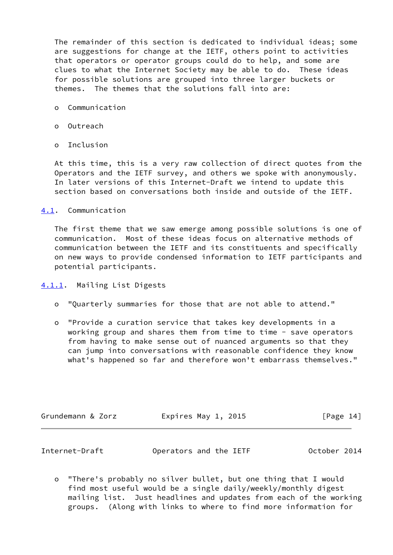The remainder of this section is dedicated to individual ideas; some are suggestions for change at the IETF, others point to activities that operators or operator groups could do to help, and some are clues to what the Internet Society may be able to do. These ideas for possible solutions are grouped into three larger buckets or themes. The themes that the solutions fall into are:

- o Communication
- o Outreach
- o Inclusion

 At this time, this is a very raw collection of direct quotes from the Operators and the IETF survey, and others we spoke with anonymously. In later versions of this Internet-Draft we intend to update this section based on conversations both inside and outside of the IETF.

<span id="page-15-0"></span>[4.1](#page-15-0). Communication

 The first theme that we saw emerge among possible solutions is one of communication. Most of these ideas focus on alternative methods of communication between the IETF and its constituents and specifically on new ways to provide condensed information to IETF participants and potential participants.

- <span id="page-15-1"></span>[4.1.1](#page-15-1). Mailing List Digests
	- o "Quarterly summaries for those that are not able to attend."
	- o "Provide a curation service that takes key developments in a working group and shares them from time to time - save operators from having to make sense out of nuanced arguments so that they can jump into conversations with reasonable confidence they know what's happened so far and therefore won't embarrass themselves."

| Grundemann & Zorz | Expires May 1, 2015 | [Page 14] |
|-------------------|---------------------|-----------|
|                   |                     |           |

<span id="page-15-2"></span>

| Internet-Draft | Operators and the IETF | October 2014 |
|----------------|------------------------|--------------|
|----------------|------------------------|--------------|

 o "There's probably no silver bullet, but one thing that I would find most useful would be a single daily/weekly/monthly digest mailing list. Just headlines and updates from each of the working groups. (Along with links to where to find more information for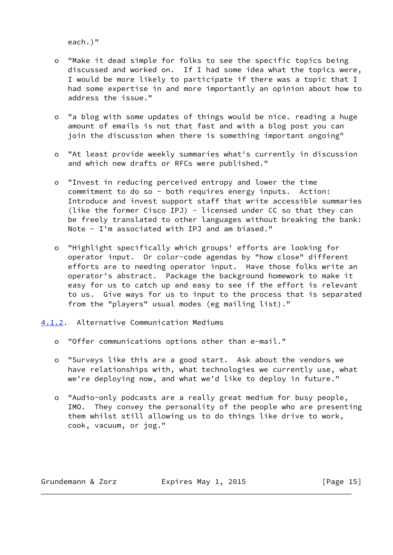each.)"

- o "Make it dead simple for folks to see the specific topics being discussed and worked on. If I had some idea what the topics were, I would be more likely to participate if there was a topic that I had some expertise in and more importantly an opinion about how to address the issue."
- o "a blog with some updates of things would be nice. reading a huge amount of emails is not that fast and with a blog post you can join the discussion when there is something important ongoing"
- o "At least provide weekly summaries what's currently in discussion and which new drafts or RFCs were published."
- o "Invest in reducing perceived entropy and lower the time commitment to do so - both requires energy inputs. Action: Introduce and invest support staff that write accessible summaries (like the former Cisco IPJ) - licensed under CC so that they can be freely translated to other languages without breaking the bank: Note - I'm associated with IPJ and am biased."
- o "Highlight specifically which groups' efforts are looking for operator input. Or color-code agendas by "how close" different efforts are to needing operator input. Have those folks write an operator's abstract. Package the background homework to make it easy for us to catch up and easy to see if the effort is relevant to us. Give ways for us to input to the process that is separated from the "players" usual modes (eg mailing list)."
- <span id="page-16-0"></span>[4.1.2](#page-16-0). Alternative Communication Mediums
	- o "Offer communications options other than e-mail."
	- o "Surveys like this are a good start. Ask about the vendors we have relationships with, what technologies we currently use, what we're deploying now, and what we'd like to deploy in future."
	- o "Audio-only podcasts are a really great medium for busy people, IMO. They convey the personality of the people who are presenting them whilst still allowing us to do things like drive to work, cook, vacuum, or jog."

Grundemann & Zorz **Expires May 1, 2015** [Page 15]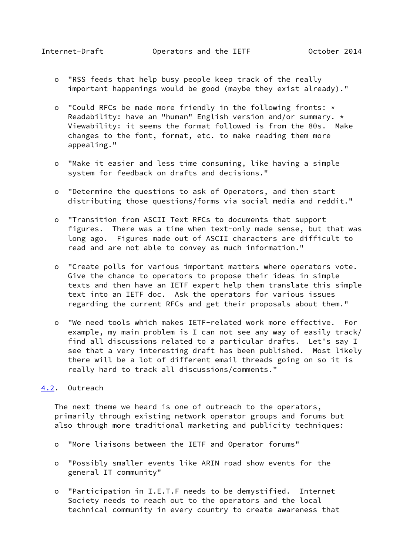- <span id="page-17-1"></span> o "RSS feeds that help busy people keep track of the really important happenings would be good (maybe they exist already)."
- o "Could RFCs be made more friendly in the following fronts: \* Readability: have an "human" English version and/or summary. \* Viewability: it seems the format followed is from the 80s. Make changes to the font, format, etc. to make reading them more appealing."
- o "Make it easier and less time consuming, like having a simple system for feedback on drafts and decisions."
- o "Determine the questions to ask of Operators, and then start distributing those questions/forms via social media and reddit."
- o "Transition from ASCII Text RFCs to documents that support figures. There was a time when text-only made sense, but that was long ago. Figures made out of ASCII characters are difficult to read and are not able to convey as much information."
- o "Create polls for various important matters where operators vote. Give the chance to operators to propose their ideas in simple texts and then have an IETF expert help them translate this simple text into an IETF doc. Ask the operators for various issues regarding the current RFCs and get their proposals about them."
- o "We need tools which makes IETF-related work more effective. For example, my main problem is I can not see any way of easily track/ find all discussions related to a particular drafts. Let's say I see that a very interesting draft has been published. Most likely there will be a lot of different email threads going on so it is really hard to track all discussions/comments."

### <span id="page-17-0"></span>[4.2](#page-17-0). Outreach

 The next theme we heard is one of outreach to the operators, primarily through existing network operator groups and forums but also through more traditional marketing and publicity techniques:

- o "More liaisons between the IETF and Operator forums"
- o "Possibly smaller events like ARIN road show events for the general IT community"
- o "Participation in I.E.T.F needs to be demystified. Internet Society needs to reach out to the operators and the local technical community in every country to create awareness that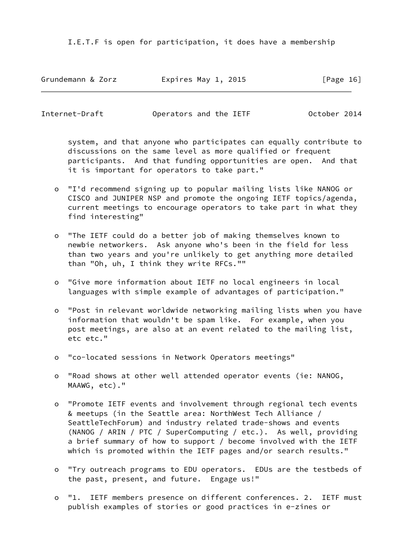I.E.T.F is open for participation, it does have a membership

Grundemann & Zorz Expires May 1, 2015 [Page 16]

Internet-Draft Operators and the IETF October 2014

 system, and that anyone who participates can equally contribute to discussions on the same level as more qualified or frequent participants. And that funding opportunities are open. And that it is important for operators to take part."

- o "I'd recommend signing up to popular mailing lists like NANOG or CISCO and JUNIPER NSP and promote the ongoing IETF topics/agenda, current meetings to encourage operators to take part in what they find interesting"
- o "The IETF could do a better job of making themselves known to newbie networkers. Ask anyone who's been in the field for less than two years and you're unlikely to get anything more detailed than "Oh, uh, I think they write RFCs.""
- o "Give more information about IETF no local engineers in local languages with simple example of advantages of participation."
- o "Post in relevant worldwide networking mailing lists when you have information that wouldn't be spam like. For example, when you post meetings, are also at an event related to the mailing list, etc etc."
- o "co-located sessions in Network Operators meetings"
- o "Road shows at other well attended operator events (ie: NANOG, MAAWG, etc)."
- o "Promote IETF events and involvement through regional tech events & meetups (in the Seattle area: NorthWest Tech Alliance / SeattleTechForum) and industry related trade-shows and events (NANOG / ARIN / PTC / SuperComputing / etc.). As well, providing a brief summary of how to support / become involved with the IETF which is promoted within the IETF pages and/or search results."
- o "Try outreach programs to EDU operators. EDUs are the testbeds of the past, present, and future. Engage us!"
- o "1. IETF members presence on different conferences. 2. IETF must publish examples of stories or good practices in e-zines or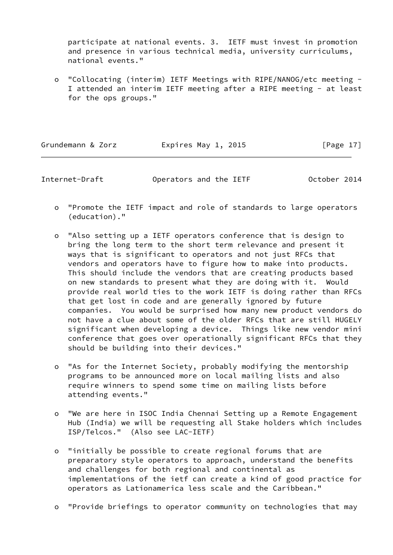participate at national events. 3. IETF must invest in promotion and presence in various technical media, university curriculums, national events."

 o "Collocating (interim) IETF Meetings with RIPE/NANOG/etc meeting - I attended an interim IETF meeting after a RIPE meeting - at least for the ops groups."

| Grundemann & Zorz | Expires May 1, 2015 | [Page 17] |
|-------------------|---------------------|-----------|
|                   |                     |           |

Internet-Draft Operators and the IETF October 2014

- o "Promote the IETF impact and role of standards to large operators (education)."
- o "Also setting up a IETF operators conference that is design to bring the long term to the short term relevance and present it ways that is significant to operators and not just RFCs that vendors and operators have to figure how to make into products. This should include the vendors that are creating products based on new standards to present what they are doing with it. Would provide real world ties to the work IETF is doing rather than RFCs that get lost in code and are generally ignored by future companies. You would be surprised how many new product vendors do not have a clue about some of the older RFCs that are still HUGELY significant when developing a device. Things like new vendor mini conference that goes over operationally significant RFCs that they should be building into their devices."
- o "As for the Internet Society, probably modifying the mentorship programs to be announced more on local mailing lists and also require winners to spend some time on mailing lists before attending events."
- o "We are here in ISOC India Chennai Setting up a Remote Engagement Hub (India) we will be requesting all Stake holders which includes ISP/Telcos." (Also see LAC-IETF)
- o "initially be possible to create regional forums that are preparatory style operators to approach, understand the benefits and challenges for both regional and continental as implementations of the ietf can create a kind of good practice for operators as Lationamerica less scale and the Caribbean."
- o "Provide briefings to operator community on technologies that may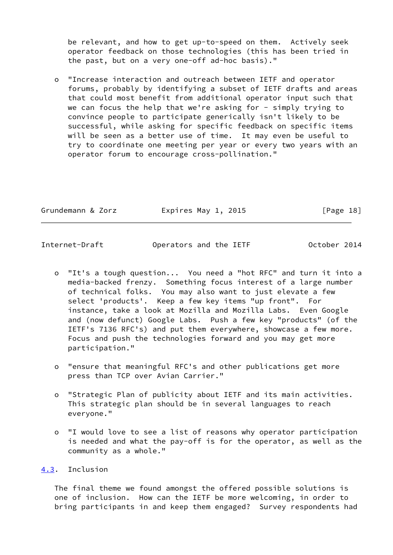be relevant, and how to get up-to-speed on them. Actively seek operator feedback on those technologies (this has been tried in the past, but on a very one-off ad-hoc basis)."

 o "Increase interaction and outreach between IETF and operator forums, probably by identifying a subset of IETF drafts and areas that could most benefit from additional operator input such that we can focus the help that we're asking for - simply trying to convince people to participate generically isn't likely to be successful, while asking for specific feedback on specific items will be seen as a better use of time. It may even be useful to try to coordinate one meeting per year or every two years with an operator forum to encourage cross-pollination."

| Grundemann & Zorz | Expires May 1, 2015 |  | [Page 18] |  |
|-------------------|---------------------|--|-----------|--|
|                   |                     |  |           |  |

<span id="page-20-1"></span>Internet-Draft Operators and the IETF October 2014

- o "It's a tough question... You need a "hot RFC" and turn it into a media-backed frenzy. Something focus interest of a large number of technical folks. You may also want to just elevate a few select 'products'. Keep a few key items "up front". For instance, take a look at Mozilla and Mozilla Labs. Even Google and (now defunct) Google Labs. Push a few key "products" (of the IETF's 7136 RFC's) and put them everywhere, showcase a few more. Focus and push the technologies forward and you may get more participation."
- o "ensure that meaningful RFC's and other publications get more press than TCP over Avian Carrier."
- o "Strategic Plan of publicity about IETF and its main activities. This strategic plan should be in several languages to reach everyone."
- o "I would love to see a list of reasons why operator participation is needed and what the pay-off is for the operator, as well as the community as a whole."

# <span id="page-20-0"></span>[4.3](#page-20-0). Inclusion

 The final theme we found amongst the offered possible solutions is one of inclusion. How can the IETF be more welcoming, in order to bring participants in and keep them engaged? Survey respondents had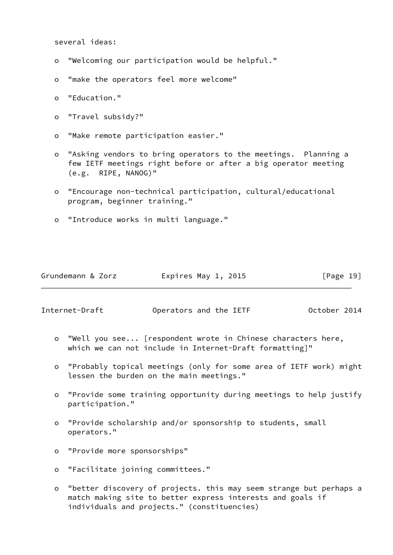several ideas:

- o "Welcoming our participation would be helpful."
- o "make the operators feel more welcome"
- o "Education."
- o "Travel subsidy?"
- o "Make remote participation easier."
- o "Asking vendors to bring operators to the meetings. Planning a few IETF meetings right before or after a big operator meeting (e.g. RIPE, NANOG)"
- o "Encourage non-technical participation, cultural/educational program, beginner training."
- o "Introduce works in multi language."

|  | Grundemann & Zorz | Expires May 1, 2015 | [Page 19] |
|--|-------------------|---------------------|-----------|
|--|-------------------|---------------------|-----------|

Internet-Draft Operators and the IETF October 2014

- o "Well you see... [respondent wrote in Chinese characters here, which we can not include in Internet-Draft formatting]"
- o "Probably topical meetings (only for some area of IETF work) might lessen the burden on the main meetings."
- o "Provide some training opportunity during meetings to help justify participation."
- o "Provide scholarship and/or sponsorship to students, small operators."
- o "Provide more sponsorships"
- o "Facilitate joining committees."
- o "better discovery of projects. this may seem strange but perhaps a match making site to better express interests and goals if individuals and projects." (constituencies)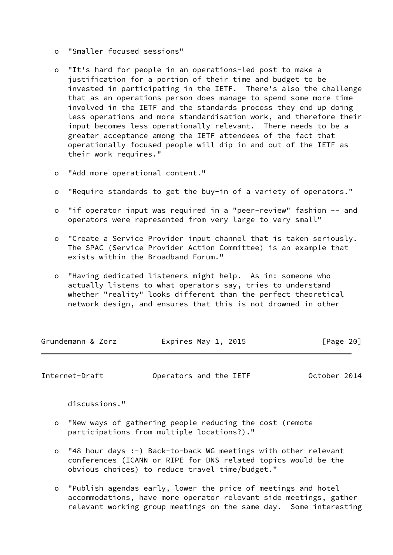- o "Smaller focused sessions"
- o "It's hard for people in an operations-led post to make a justification for a portion of their time and budget to be invested in participating in the IETF. There's also the challenge that as an operations person does manage to spend some more time involved in the IETF and the standards process they end up doing less operations and more standardisation work, and therefore their input becomes less operationally relevant. There needs to be a greater acceptance among the IETF attendees of the fact that operationally focused people will dip in and out of the IETF as their work requires."
- o "Add more operational content."
- o "Require standards to get the buy-in of a variety of operators."
- o "if operator input was required in a "peer-review" fashion -- and operators were represented from very large to very small"
- o "Create a Service Provider input channel that is taken seriously. The SPAC (Service Provider Action Committee) is an example that exists within the Broadband Forum."
- o "Having dedicated listeners might help. As in: someone who actually listens to what operators say, tries to understand whether "reality" looks different than the perfect theoretical network design, and ensures that this is not drowned in other

| Expires May 1, 2015<br>Grundemann & Zorz<br>[Page 20] |  |
|-------------------------------------------------------|--|
|-------------------------------------------------------|--|

Internet-Draft Operators and the IETF October 2014

discussions."

- o "New ways of gathering people reducing the cost (remote participations from multiple locations?)."
- o "48 hour days :-) Back-to-back WG meetings with other relevant conferences (ICANN or RIPE for DNS related topics would be the obvious choices) to reduce travel time/budget."
- o "Publish agendas early, lower the price of meetings and hotel accommodations, have more operator relevant side meetings, gather relevant working group meetings on the same day. Some interesting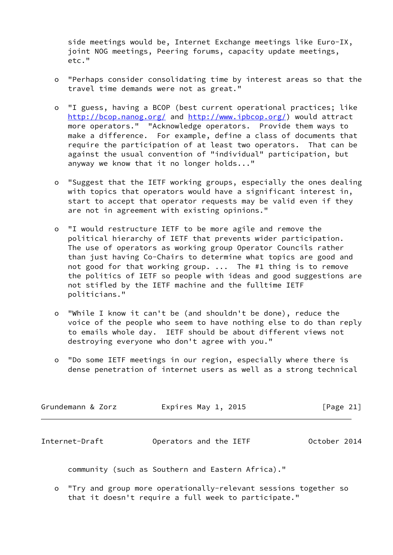side meetings would be, Internet Exchange meetings like Euro-IX, joint NOG meetings, Peering forums, capacity update meetings, etc."

- o "Perhaps consider consolidating time by interest areas so that the travel time demands were not as great."
- o "I guess, having a BCOP (best current operational practices; like <http://bcop.nanog.org/> and<http://www.ipbcop.org/>) would attract more operators." "Acknowledge operators. Provide them ways to make a difference. For example, define a class of documents that require the participation of at least two operators. That can be against the usual convention of "individual" participation, but anyway we know that it no longer holds..."
- o "Suggest that the IETF working groups, especially the ones dealing with topics that operators would have a significant interest in, start to accept that operator requests may be valid even if they are not in agreement with existing opinions."
- o "I would restructure IETF to be more agile and remove the political hierarchy of IETF that prevents wider participation. The use of operators as working group Operator Councils rather than just having Co-Chairs to determine what topics are good and not good for that working group. ... The #1 thing is to remove the politics of IETF so people with ideas and good suggestions are not stifled by the IETF machine and the fulltime IETF politicians."
- o "While I know it can't be (and shouldn't be done), reduce the voice of the people who seem to have nothing else to do than reply to emails whole day. IETF should be about different views not destroying everyone who don't agree with you."
- o "Do some IETF meetings in our region, especially where there is dense penetration of internet users as well as a strong technical

| Grundemann & Zorz | Expires May 1, 2015 | [Page 21] |
|-------------------|---------------------|-----------|
|                   |                     |           |

<span id="page-23-0"></span>

| Internet-Draft | Operators and the IETF | October 2014 |
|----------------|------------------------|--------------|
|----------------|------------------------|--------------|

community (such as Southern and Eastern Africa)."

 o "Try and group more operationally-relevant sessions together so that it doesn't require a full week to participate."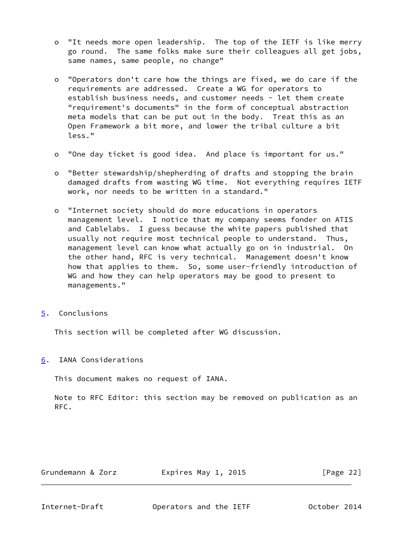- o "It needs more open leadership. The top of the IETF is like merry go round. The same folks make sure their colleagues all get jobs, same names, same people, no change"
- o "Operators don't care how the things are fixed, we do care if the requirements are addressed. Create a WG for operators to establish business needs, and customer needs - let them create "requirement's documents" in the form of conceptual abstraction meta models that can be put out in the body. Treat this as an Open Framework a bit more, and lower the tribal culture a bit less."
- o "One day ticket is good idea. And place is important for us."
- o "Better stewardship/shepherding of drafts and stopping the brain damaged drafts from wasting WG time. Not everything requires IETF work, nor needs to be written in a standard."
- o "Internet society should do more educations in operators management level. I notice that my company seems fonder on ATIS and Cablelabs. I guess because the white papers published that usually not require most technical people to understand. Thus, management level can know what actually go on in industrial. On the other hand, RFC is very technical. Management doesn't know how that applies to them. So, some user-friendly introduction of WG and how they can help operators may be good to present to managements."
- <span id="page-24-0"></span>[5](#page-24-0). Conclusions

This section will be completed after WG discussion.

<span id="page-24-1"></span>[6](#page-24-1). IANA Considerations

This document makes no request of IANA.

 Note to RFC Editor: this section may be removed on publication as an RFC.

| Grundemann & Zorz | Expires May 1, 2015 | [Page 22] |
|-------------------|---------------------|-----------|
|                   |                     |           |

<span id="page-24-2"></span>